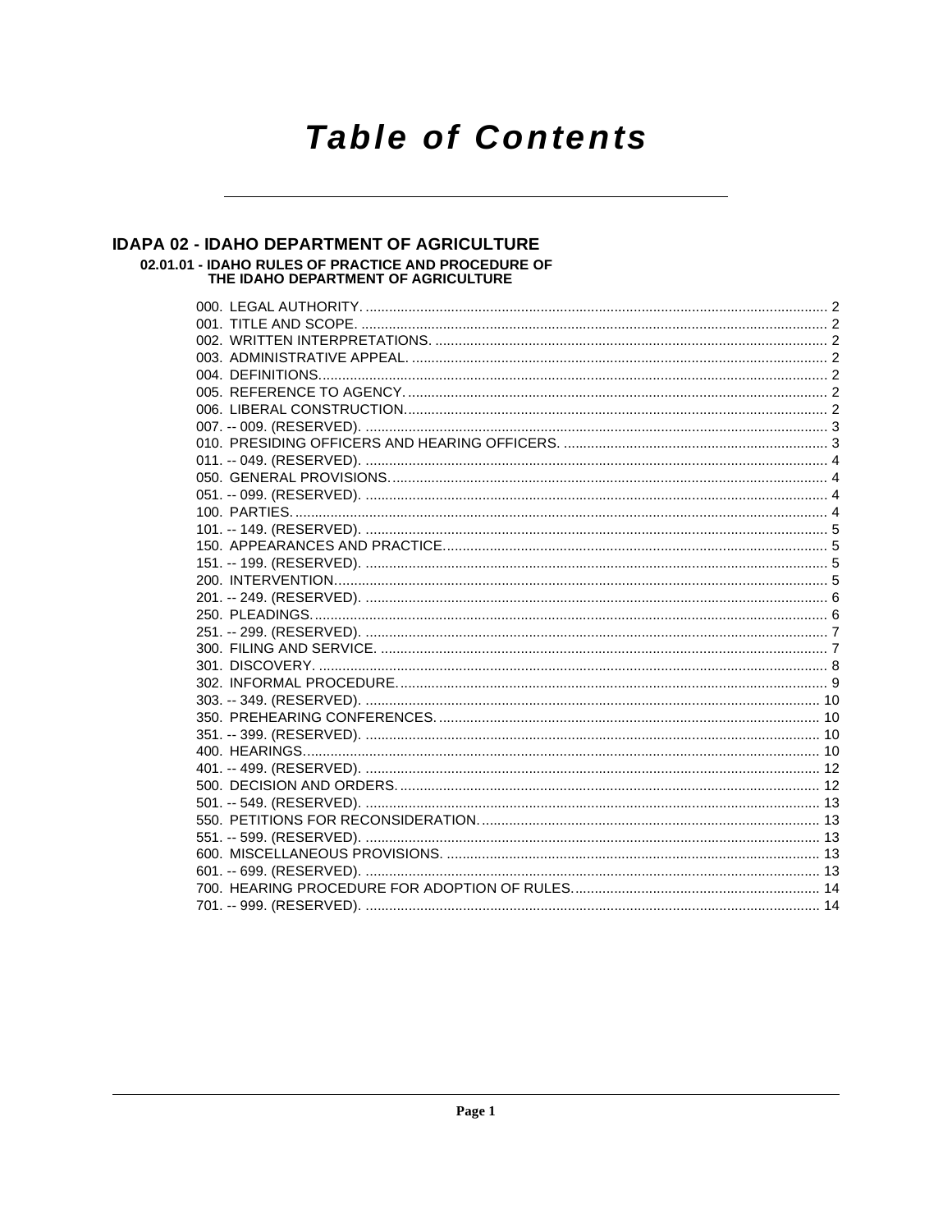# **Table of Contents**

### IDAPA 02 - IDAHO DEPARTMENT OF AGRICULTURE 02.01.01 - IDAHO RULES OF PRACTICE AND PROCEDURE OF<br>THE IDAHO DEPARTMENT OF AGRICULTURE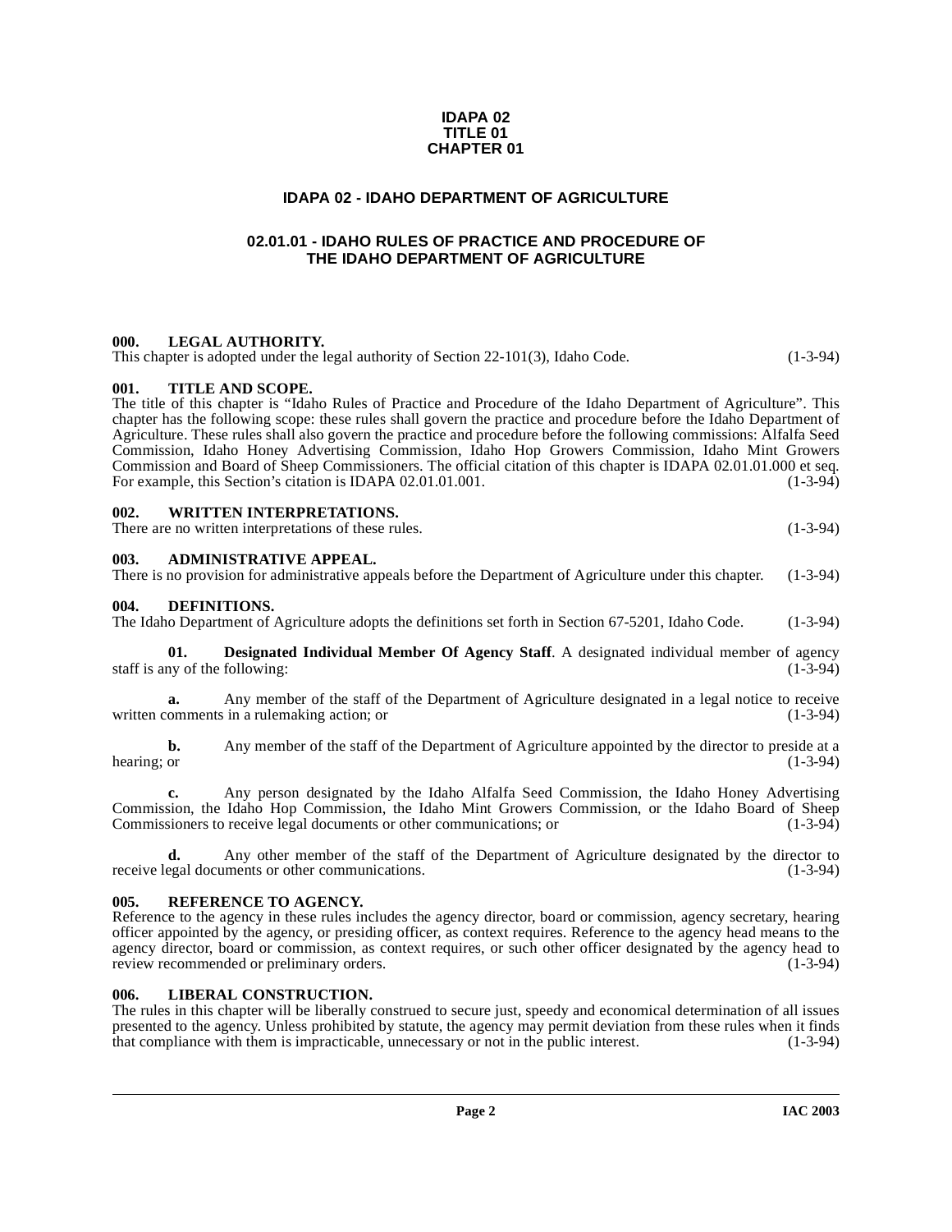#### **IDAPA 02 TITLE 01 CHAPTER 01**

#### **IDAPA 02 - IDAHO DEPARTMENT OF AGRICULTURE**

#### <span id="page-1-0"></span>**02.01.01 - IDAHO RULES OF PRACTICE AND PROCEDURE OF THE IDAHO DEPARTMENT OF AGRICULTURE**

#### <span id="page-1-2"></span><span id="page-1-1"></span>**000. LEGAL AUTHORITY.**

This chapter is adopted under the legal authority of Section 22-101(3), Idaho Code.  $(1-3-94)$ 

#### <span id="page-1-3"></span>**001. TITLE AND SCOPE.**

The title of this chapter is "Idaho Rules of Practice and Procedure of the Idaho Department of Agriculture". This chapter has the following scope: these rules shall govern the practice and procedure before the Idaho Department of Agriculture. These rules shall also govern the practice and procedure before the following commissions: Alfalfa Seed Commission, Idaho Honey Advertising Commission, Idaho Hop Growers Commission, Idaho Mint Growers Commission and Board of Sheep Commissioners. The official citation of this chapter is IDAPA 02.01.01.000 et seq.<br>For example, this Section's citation is IDAPA 02.01.01.001. For example, this Section's citation is IDAPA 02.01.01.001.

### <span id="page-1-4"></span>**002. WRITTEN INTERPRETATIONS.**

There are no written interpretations of these rules. (1-3-94)

#### <span id="page-1-5"></span>**003. ADMINISTRATIVE APPEAL.**

|  |  |  | There is no provision for administrative appeals before the Department of Agriculture under this chapter. (1-3-94) |  |
|--|--|--|--------------------------------------------------------------------------------------------------------------------|--|
|  |  |  |                                                                                                                    |  |

#### <span id="page-1-9"></span><span id="page-1-6"></span>**004. DEFINITIONS.**

The Idaho Department of Agriculture adopts the definitions set forth in Section 67-5201, Idaho Code. (1-3-94)

<span id="page-1-10"></span>**01. Designated Individual Member Of Agency Staff**. A designated individual member of agency staff is any of the following:  $(1-3-94)$ 

**a.** Any member of the staff of the Department of Agriculture designated in a legal notice to receive written comments in a rulemaking action; or (1-3-94)

**b.** Any member of the staff of the Department of Agriculture appointed by the director to preside at a hearing; or (1-3-94) hearing; or  $(1-3-94)$ 

**c.** Any person designated by the Idaho Alfalfa Seed Commission, the Idaho Honey Advertising Commission, the Idaho Hop Commission, the Idaho Mint Growers Commission, or the Idaho Board of Sheep Commissioners to receive legal documents or other communications; or (1-3-94) Commissioners to receive legal documents or other communications; or

**d.** Any other member of the staff of the Department of Agriculture designated by the director to egal documents or other communications. (1-3-94) receive legal documents or other communications.

#### <span id="page-1-12"></span><span id="page-1-7"></span>**005. REFERENCE TO AGENCY.**

Reference to the agency in these rules includes the agency director, board or commission, agency secretary, hearing officer appointed by the agency, or presiding officer, as context requires. Reference to the agency head means to the agency director, board or commission, as context requires, or such other officer designated by the agency head to review recommended or preliminary orders. review recommended or preliminary orders.

#### <span id="page-1-11"></span><span id="page-1-8"></span>**006. LIBERAL CONSTRUCTION.**

The rules in this chapter will be liberally construed to secure just, speedy and economical determination of all issues presented to the agency. Unless prohibited by statute, the agency may permit deviation from these rules when it finds that compliance with them is impracticable, unnecessary or not in the public interest. (1-3-94)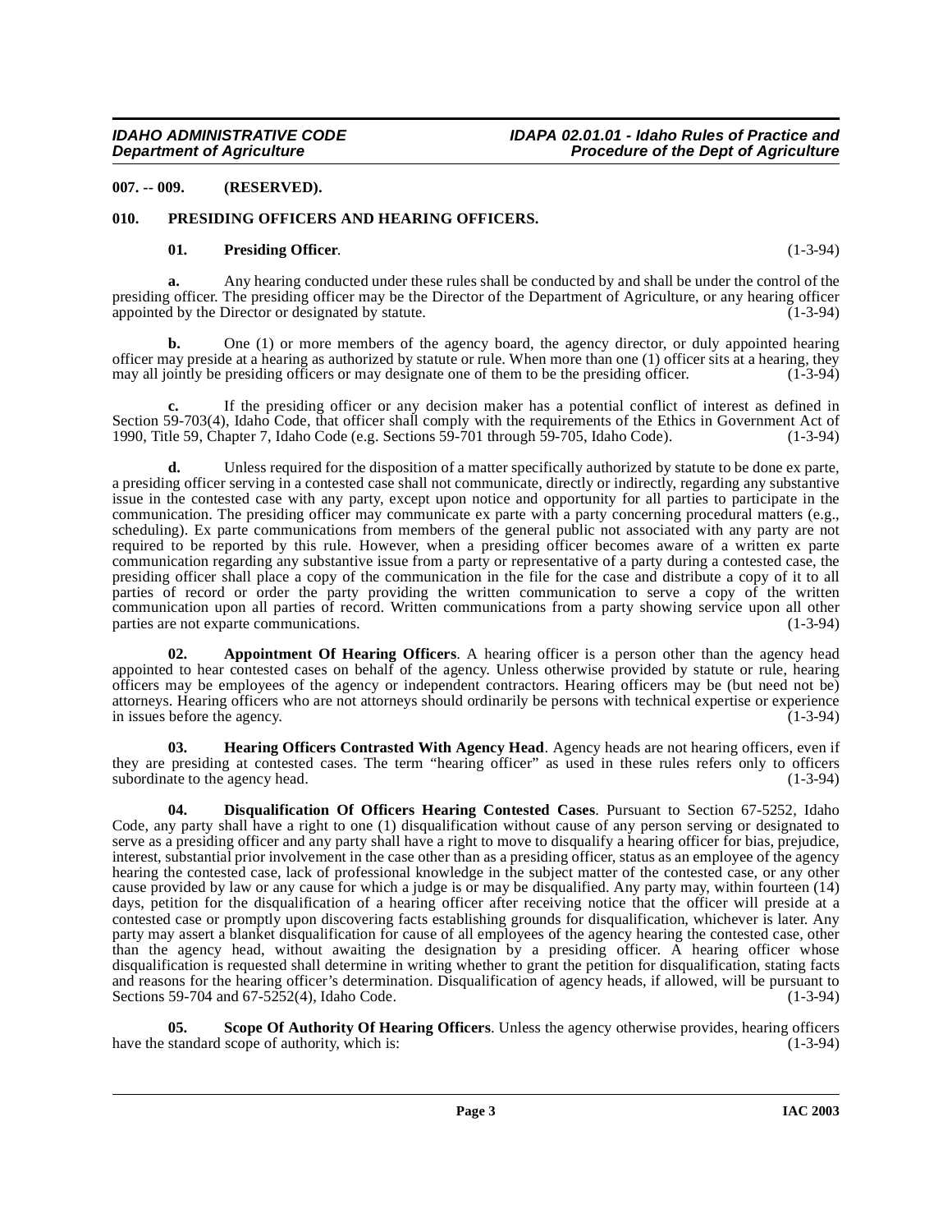<span id="page-2-0"></span>**007. -- 009. (RESERVED).**

#### <span id="page-2-1"></span>**010. PRESIDING OFFICERS AND HEARING OFFICERS.**

#### <span id="page-2-6"></span><span id="page-2-5"></span>**01. Presiding Officer**. (1-3-94)

**a.** Any hearing conducted under these rules shall be conducted by and shall be under the control of the presiding officer. The presiding officer may be the Director of the Department of Agriculture, or any hearing officer appointed by the Director or designated by statute. (1-3-94)

**b.** One (1) or more members of the agency board, the agency director, or duly appointed hearing officer may preside at a hearing as authorized by statute or rule. When more than one (1) officer sits at a hearing, they may all jointly be presiding officers or may designate one of them to be the presiding officer. (1-3 may all jointly be presiding officers or may designate one of them to be the presiding officer.

**c.** If the presiding officer or any decision maker has a potential conflict of interest as defined in Section 59-703(4), Idaho Code, that officer shall comply with the requirements of the Ethics in Government Act of 1990, Title 59, Chapter 7, Idaho Code (e.g. Sections 59-701 through 59-705, Idaho Code). (1-3-94) 1990, Title 59, Chapter 7, Idaho Code (e.g. Sections 59-701 through 59-705, Idaho Code).

**d.** Unless required for the disposition of a matter specifically authorized by statute to be done ex parte, a presiding officer serving in a contested case shall not communicate, directly or indirectly, regarding any substantive issue in the contested case with any party, except upon notice and opportunity for all parties to participate in the communication. The presiding officer may communicate ex parte with a party concerning procedural matters (e.g., scheduling). Ex parte communications from members of the general public not associated with any party are not required to be reported by this rule. However, when a presiding officer becomes aware of a written ex parte communication regarding any substantive issue from a party or representative of a party during a contested case, the presiding officer shall place a copy of the communication in the file for the case and distribute a copy of it to all parties of record or order the party providing the written communication to serve a copy of the written communication upon all parties of record. Written communications from a party showing service upon all other parties are not exparte communications. (1-3-94) parties are not exparte communications.

<span id="page-2-2"></span>**02. Appointment Of Hearing Officers**. A hearing officer is a person other than the agency head appointed to hear contested cases on behalf of the agency. Unless otherwise provided by statute or rule, hearing officers may be employees of the agency or independent contractors. Hearing officers may be (but need not be) attorneys. Hearing officers who are not attorneys should ordinarily be persons with technical expertise or experience in issues before the agency. (1-3-94)

<span id="page-2-4"></span>**Hearing Officers Contrasted With Agency Head.** Agency heads are not hearing officers, even if they are presiding at contested cases. The term "hearing officer" as used in these rules refers only to officers subordinate to the agency head. (1-3-94) (1-3-94)

<span id="page-2-3"></span>**04. Disqualification Of Officers Hearing Contested Cases**. Pursuant to Section 67-5252, Idaho Code, any party shall have a right to one (1) disqualification without cause of any person serving or designated to serve as a presiding officer and any party shall have a right to move to disqualify a hearing officer for bias, prejudice, interest, substantial prior involvement in the case other than as a presiding officer, status as an employee of the agency hearing the contested case, lack of professional knowledge in the subject matter of the contested case, or any other cause provided by law or any cause for which a judge is or may be disqualified. Any party may, within fourteen (14) days, petition for the disqualification of a hearing officer after receiving notice that the officer will preside at a contested case or promptly upon discovering facts establishing grounds for disqualification, whichever is later. Any party may assert a blanket disqualification for cause of all employees of the agency hearing the contested case, other than the agency head, without awaiting the designation by a presiding officer. A hearing officer whose disqualification is requested shall determine in writing whether to grant the petition for disqualification, stating facts and reasons for the hearing officer's determination. Disqualification of agency heads, if allowed, will be pursuant to Sections 59-704 and 67-5252(4), Idaho Code. (1-3-94)

<span id="page-2-7"></span>**05.** Scope Of Authority Of Hearing Officers. Unless the agency otherwise provides, hearing officers standard scope of authority, which is: (1-3-94) have the standard scope of authority, which is: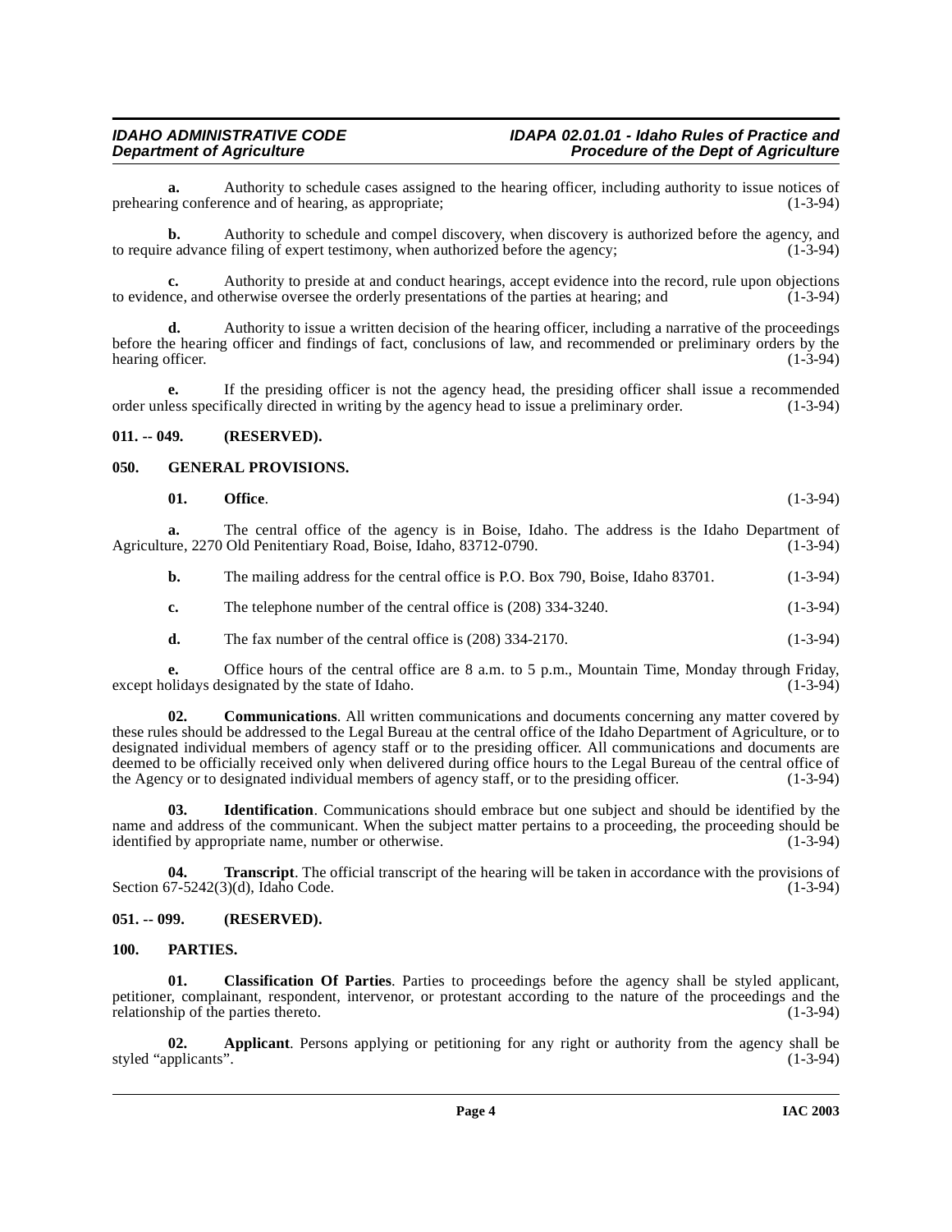**a.** Authority to schedule cases assigned to the hearing officer, including authority to issue notices of ng conference and of hearing, as appropriate; (1-3-94) prehearing conference and of hearing, as appropriate;

**b.** Authority to schedule and compel discovery, when discovery is authorized before the agency, and to require advance filing of expert testimony, when authorized before the agency; (1-3-94)

**c.** Authority to preside at and conduct hearings, accept evidence into the record, rule upon objections ince, and otherwise oversee the orderly presentations of the parties at hearing; and (1-3-94) to evidence, and otherwise oversee the orderly presentations of the parties at hearing; and

**d.** Authority to issue a written decision of the hearing officer, including a narrative of the proceedings before the hearing officer and findings of fact, conclusions of law, and recommended or preliminary orders by the hearing officer.

**e.** If the presiding officer is not the agency head, the presiding officer shall issue a recommended order unless specifically directed in writing by the agency head to issue a preliminary order. (1-3-94)

#### <span id="page-3-0"></span>**011. -- 049. (RESERVED).**

#### <span id="page-3-1"></span>**050. GENERAL PROVISIONS.**

<span id="page-3-5"></span>

| 01. | Office. | $(1-3-94)$ |
|-----|---------|------------|
|-----|---------|------------|

**a.** The central office of the agency is in Boise, Idaho. The address is the Idaho Department of ure, 2270 Old Penitentiary Road. Boise, Idaho. 83712-0790. (1-3-94) Agriculture, 2270 Old Penitentiary Road, Boise, Idaho, 83712-0790.

| b. |  |  |  | The mailing address for the central office is P.O. Box 790, Boise, Idaho 83701. | $(1-3-94)$ |
|----|--|--|--|---------------------------------------------------------------------------------|------------|
|----|--|--|--|---------------------------------------------------------------------------------|------------|

- **c.** The telephone number of the central office is (208) 334-3240. (1-3-94)
- **d.** The fax number of the central office is  $(208)$  334-2170.  $(1-3-94)$

**e.** Office hours of the central office are 8 a.m. to 5 p.m., Mountain Time, Monday through Friday, olidays designated by the state of Idaho. (1-3-94) except holidays designated by the state of Idaho.

**02. Communications**. All written communications and documents concerning any matter covered by these rules should be addressed to the Legal Bureau at the central office of the Idaho Department of Agriculture, or to designated individual members of agency staff or to the presiding officer. All communications and documents are deemed to be officially received only when delivered during office hours to the Legal Bureau of the central office of the Agency or to designated individual members of agency staff, or to the presiding officer. (1-3-94)

**03. Identification**. Communications should embrace but one subject and should be identified by the name and address of the communicant. When the subject matter pertains to a proceeding, the proceeding should be identified by appropriate name, number or otherwise. (1-3-94)

**04. Transcript**. The official transcript of the hearing will be taken in accordance with the provisions of 57-5242(3)(d). Idaho Code. (1-3-94) Section  $67-5242(3)(d)$ , Idaho Code.

#### <span id="page-3-2"></span>**051. -- 099. (RESERVED).**

#### <span id="page-3-6"></span><span id="page-3-3"></span>**100. PARTIES.**

<span id="page-3-4"></span>**01. Classification Of Parties**. Parties to proceedings before the agency shall be styled applicant, petitioner, complainant, respondent, intervenor, or protestant according to the nature of the proceedings and the relationship of the parties thereto. (1-3-94)

**02.** Applicant. Persons applying or petitioning for any right or authority from the agency shall be pplicants". (1-3-94) styled "applicants".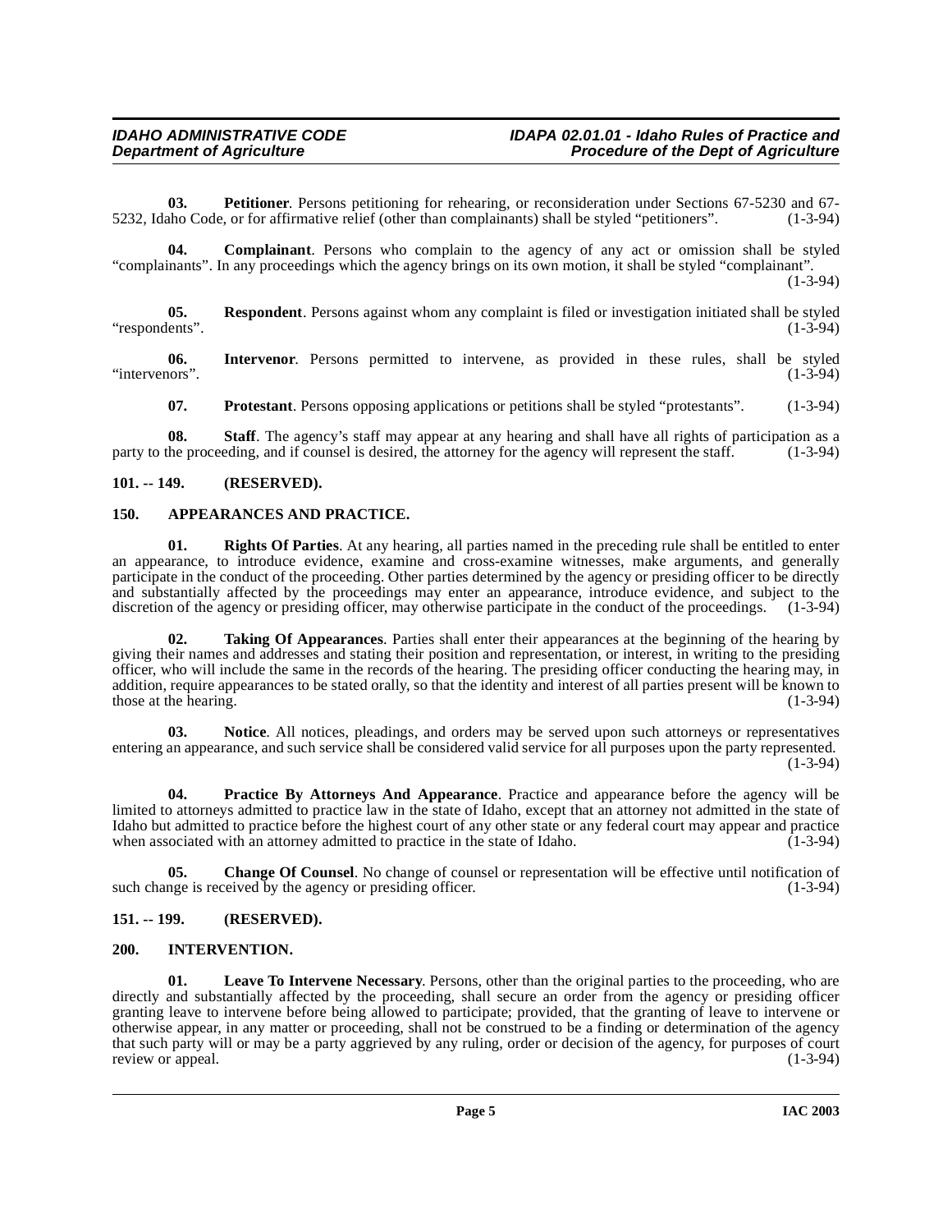**03. Petitioner**. Persons petitioning for rehearing, or reconsideration under Sections 67-5230 and 67-<br>ho Code, or for affirmative relief (other than complainants) shall be styled "petitioners". (1-3-94) 5232, Idaho Code, or for affirmative relief (other than complainants) shall be styled "petitioners".

**04. Complainant**. Persons who complain to the agency of any act or omission shall be styled "complainants". In any proceedings which the agency brings on its own motion, it shall be styled "complainant". (1-3-94)

**05. Respondent**. Persons against whom any complaint is filed or investigation initiated shall be styled "respondents". (1-3-94)

**06.** Intervenor. Persons permitted to intervene, as provided in these rules, shall be styled in these rules, shall be styled in these rules, shall be styled in these rules, shall be styled "intervenors".

**07. Protestant**. Persons opposing applications or petitions shall be styled "protestants". (1-3-94)

**08. Staff**. The agency's staff may appear at any hearing and shall have all rights of participation as a the proceeding, and if counsel is desired, the attorney for the agency will represent the staff. (1-3-94) party to the proceeding, and if counsel is desired, the attorney for the agency will represent the staff.

#### <span id="page-4-0"></span>**101. -- 149. (RESERVED).**

#### <span id="page-4-4"></span><span id="page-4-1"></span>**150. APPEARANCES AND PRACTICE.**

<span id="page-4-8"></span>**01. Rights Of Parties**. At any hearing, all parties named in the preceding rule shall be entitled to enter an appearance, to introduce evidence, examine and cross-examine witnesses, make arguments, and generally participate in the conduct of the proceeding. Other parties determined by the agency or presiding officer to be directly and substantially affected by the proceedings may enter an appearance, introduce evidence, and subject to the discretion of the agency or presiding officer, may otherwise participate in the conduct of the proceedings. (1-3-94)

**02. Taking Of Appearances**. Parties shall enter their appearances at the beginning of the hearing by giving their names and addresses and stating their position and representation, or interest, in writing to the presiding officer, who will include the same in the records of the hearing. The presiding officer conducting the hearing may, in addition, require appearances to be stated orally, so that the identity and interest of all parties present will be known to those at the hearing.  $(1-3-94)$ 

**03. Notice**. All notices, pleadings, and orders may be served upon such attorneys or representatives entering an appearance, and such service shall be considered valid service for all purposes upon the party represented. (1-3-94)

<span id="page-4-7"></span>**04. Practice By Attorneys And Appearance**. Practice and appearance before the agency will be limited to attorneys admitted to practice law in the state of Idaho, except that an attorney not admitted in the state of Idaho but admitted to practice before the highest court of any other state or any federal court may appear and practice when associated with an attorney admitted to practice in the state of Idaho.  $(1-3-94)$ 

<span id="page-4-5"></span>**05.** Change Of Counsel. No change of counsel or representation will be effective until notification of nge is received by the agency or presiding officer. (1-3-94) such change is received by the agency or presiding officer.

#### <span id="page-4-2"></span>**151. -- 199. (RESERVED).**

#### <span id="page-4-6"></span><span id="page-4-3"></span>**200. INTERVENTION.**

**01. Leave To Intervene Necessary**. Persons, other than the original parties to the proceeding, who are directly and substantially affected by the proceeding, shall secure an order from the agency or presiding officer granting leave to intervene before being allowed to participate; provided, that the granting of leave to intervene or otherwise appear, in any matter or proceeding, shall not be construed to be a finding or determination of the agency that such party will or may be a party aggrieved by any ruling, order or decision of the agency, for purposes of court review or appeal. (1-3-94) (1-3-94)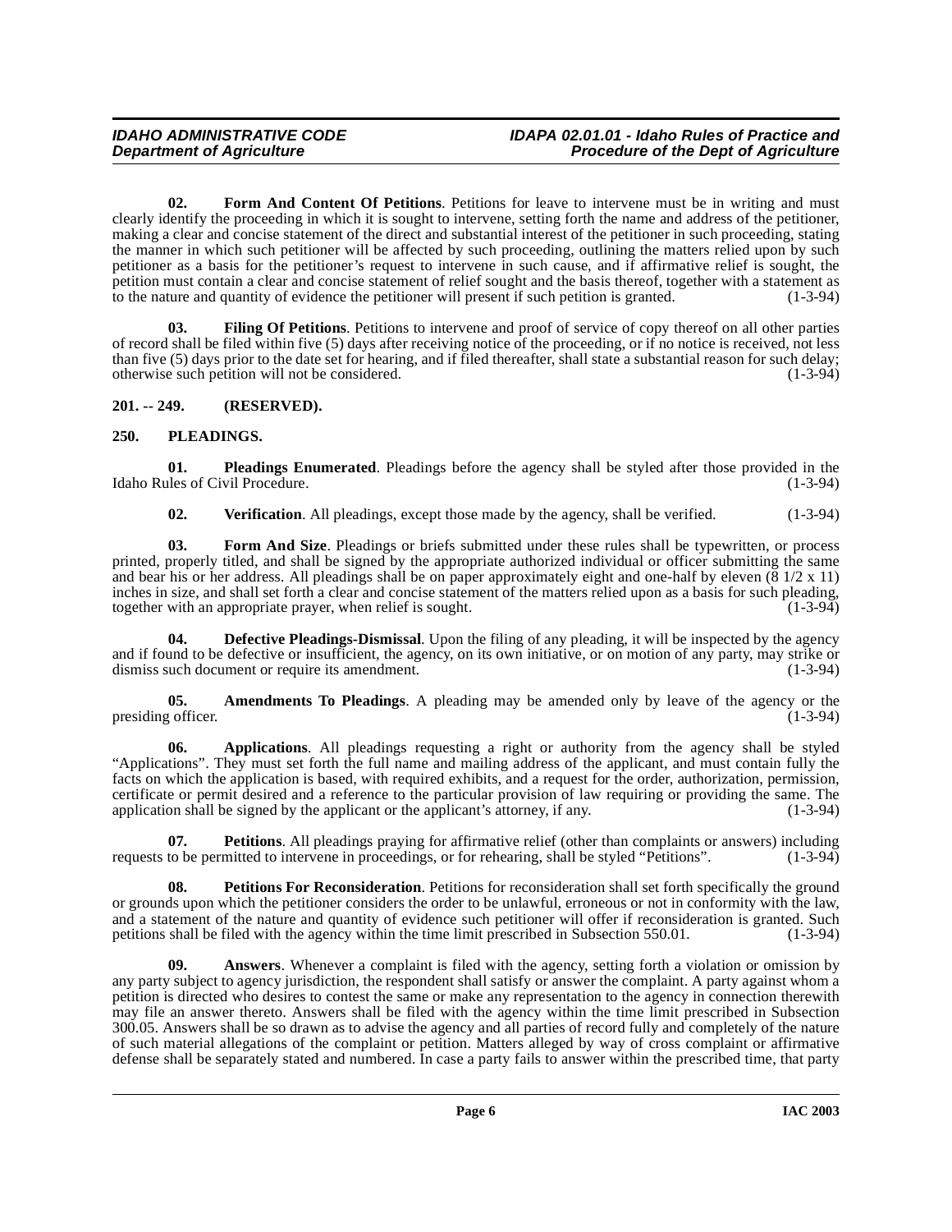**02. Form And Content Of Petitions**. Petitions for leave to intervene must be in writing and must clearly identify the proceeding in which it is sought to intervene, setting forth the name and address of the petitioner, making a clear and concise statement of the direct and substantial interest of the petitioner in such proceeding, stating the manner in which such petitioner will be affected by such proceeding, outlining the matters relied upon by such petitioner as a basis for the petitioner's request to intervene in such cause, and if affirmative relief is sought, the petition must contain a clear and concise statement of relief sought and the basis thereof, together with a statement as to the nature and quantity of evidence the petitioner will present if such petition is granted. (1-3to the nature and quantity of evidence the petitioner will present if such petition is granted.

**Filing Of Petitions**. Petitions to intervene and proof of service of copy thereof on all other parties of record shall be filed within five (5) days after receiving notice of the proceeding, or if no notice is received, not less than five (5) days prior to the date set for hearing, and if filed thereafter, shall state a substantial reason for such delay;<br>otherwise such petition will not be considered. (1-3-94) otherwise such petition will not be considered.

#### <span id="page-5-0"></span>**201. -- 249. (RESERVED).**

#### <span id="page-5-6"></span><span id="page-5-1"></span>**250. PLEADINGS.**

**01. Pleadings Enumerated**. Pleadings before the agency shall be styled after those provided in the Idaho Rules of Civil Procedure. (1-3-94)

<span id="page-5-5"></span>**02.** Verification. All pleadings, except those made by the agency, shall be verified. (1-3-94)

**03. Form And Size**. Pleadings or briefs submitted under these rules shall be typewritten, or process printed, properly titled, and shall be signed by the appropriate authorized individual or officer submitting the same and bear his or her address. All pleadings shall be on paper approximately eight and one-half by eleven  $(\bar{8} \frac{1}{2} \times 11)$ inches in size, and shall set forth a clear and concise statement of the matters relied upon as a basis for such pleading, together with an appropriate prayer, when relief is sought.  $(1-3-9\overline{4})$ 

<span id="page-5-3"></span>**Defective Pleadings-Dismissal**. Upon the filing of any pleading, it will be inspected by the agency and if found to be defective or insufficient, the agency, on its own initiative, or on motion of any party, may strike or dismiss such document or require its amendment. dismiss such document or require its amendment.

<span id="page-5-2"></span>**05. Amendments To Pleadings**. A pleading may be amended only by leave of the agency or the cofficer. (1-3-94) presiding officer.

**06. Applications**. All pleadings requesting a right or authority from the agency shall be styled "Applications". They must set forth the full name and mailing address of the applicant, and must contain fully the facts on which the application is based, with required exhibits, and a request for the order, authorization, permission, certificate or permit desired and a reference to the particular provision of law requiring or providing the same. The application shall be signed by the applicant or the applicant's attorney, if any. application shall be signed by the applicant or the applicant's attorney, if any.

**07.** Petitions. All pleadings praying for affirmative relief (other than complaints or answers) including to be permitted to intervene in proceedings, or for rehearing, shall be styled "Petitions". (1-3-94) requests to be permitted to intervene in proceedings, or for rehearing, shall be styled "Petitions".

<span id="page-5-4"></span>**08.** Petitions For Reconsideration. Petitions for reconsideration shall set forth specifically the ground or grounds upon which the petitioner considers the order to be unlawful, erroneous or not in conformity with the law, and a statement of the nature and quantity of evidence such petitioner will offer if reconsideration is granted. Such petitions shall be filed with the agency within the time limit prescribed in Subsection 550.01. (1-3-94) petitions shall be filed with the agency within the time limit prescribed in Subsection 550.01.

**09. Answers**. Whenever a complaint is filed with the agency, setting forth a violation or omission by any party subject to agency jurisdiction, the respondent shall satisfy or answer the complaint. A party against whom a petition is directed who desires to contest the same or make any representation to the agency in connection therewith may file an answer thereto. Answers shall be filed with the agency within the time limit prescribed in Subsection 300.05. Answers shall be so drawn as to advise the agency and all parties of record fully and completely of the nature of such material allegations of the complaint or petition. Matters alleged by way of cross complaint or affirmative defense shall be separately stated and numbered. In case a party fails to answer within the prescribed time, that party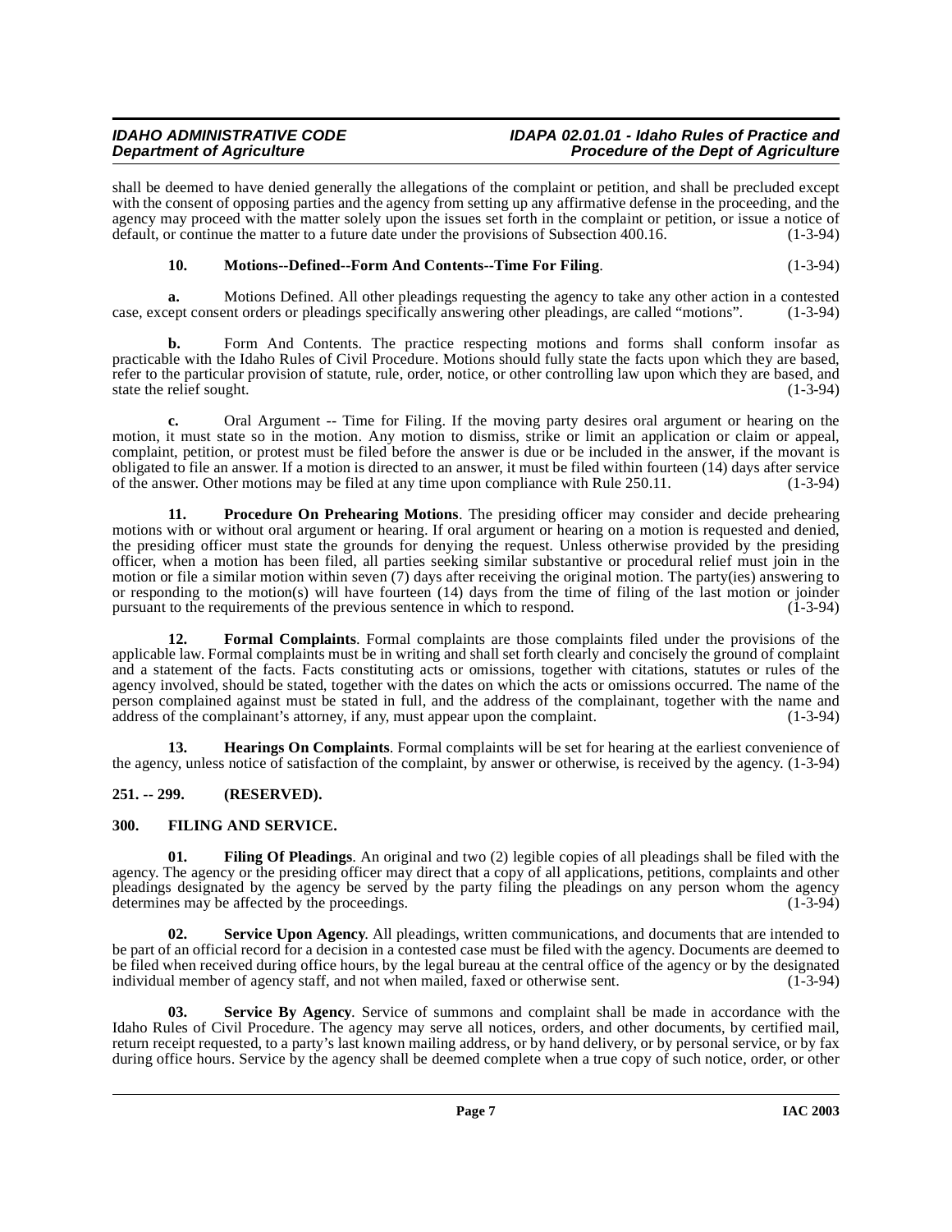## **IDAHO ADMINISTRATIVE CODE IDAPA 02.01.01 - Idaho Rules of Practice and**

## **Procedure of the Dept of Agriculture**

shall be deemed to have denied generally the allegations of the complaint or petition, and shall be precluded except with the consent of opposing parties and the agency from setting up any affirmative defense in the proceeding, and the agency may proceed with the matter solely upon the issues set forth in the complaint or petition, or issue a notice of default, or continue the matter to a future date under the provisions of Subsection 400.16. (1-3-94) default, or continue the matter to a future date under the provisions of Subsection 400.16.

#### <span id="page-6-4"></span>**10.** Motions--Defined--Form And Contents--Time For Filing. (1-3-94)

**a.** Motions Defined. All other pleadings requesting the agency to take any other action in a contested case, except consent orders or pleadings specifically answering other pleadings, are called "motions". (1-3-94)

**b.** Form And Contents. The practice respecting motions and forms shall conform insofar as practicable with the Idaho Rules of Civil Procedure. Motions should fully state the facts upon which they are based, refer to the particular provision of statute, rule, order, notice, or other controlling law upon which they are based, and state the relief sought. (1-3-94)

**c.** Oral Argument -- Time for Filing. If the moving party desires oral argument or hearing on the motion, it must state so in the motion. Any motion to dismiss, strike or limit an application or claim or appeal, complaint, petition, or protest must be filed before the answer is due or be included in the answer, if the movant is obligated to file an answer. If a motion is directed to an answer, it must be filed within fourteen (14) days after service of the answer. Other motions may be filed at any time upon compliance with Rule 250.11. (1-3-94)

<span id="page-6-5"></span>**11. Procedure On Prehearing Motions**. The presiding officer may consider and decide prehearing motions with or without oral argument or hearing. If oral argument or hearing on a motion is requested and denied, the presiding officer must state the grounds for denying the request. Unless otherwise provided by the presiding officer, when a motion has been filed, all parties seeking similar substantive or procedural relief must join in the motion or file a similar motion within seven (7) days after receiving the original motion. The party(ies) answering to or responding to the motion(s) will have fourteen (14) days from the time of filing of the last motion or joinder<br>pursuant to the requirements of the previous sentence in which to respond. (1-3-94) pursuant to the requirements of the previous sentence in which to respond.

**12. Formal Complaints**. Formal complaints are those complaints filed under the provisions of the applicable law. Formal complaints must be in writing and shall set forth clearly and concisely the ground of complaint and a statement of the facts. Facts constituting acts or omissions, together with citations, statutes or rules of the agency involved, should be stated, together with the dates on which the acts or omissions occurred. The name of the person complained against must be stated in full, and the address of the complainant, together with the name and address of the complainant's attorney, if any, must appear upon the complaint. (1-3-94)

**13. Hearings On Complaints**. Formal complaints will be set for hearing at the earliest convenience of the agency, unless notice of satisfaction of the complaint, by answer or otherwise, is received by the agency. (1-3-94)

#### <span id="page-6-0"></span>**251. -- 299. (RESERVED).**

#### <span id="page-6-3"></span><span id="page-6-2"></span><span id="page-6-1"></span>**300. FILING AND SERVICE.**

**01. Filing Of Pleadings**. An original and two (2) legible copies of all pleadings shall be filed with the agency. The agency or the presiding officer may direct that a copy of all applications, petitions, complaints and other pleadings designated by the agency be served by the party filing the pleadings on any person whom the agency determines may be affected by the proceedings. (1-3-94)

**02. Service Upon Agency**. All pleadings, written communications, and documents that are intended to be part of an official record for a decision in a contested case must be filed with the agency. Documents are deemed to be filed when received during office hours, by the legal bureau at the central office of the agency or by the designated individual member of agency staff, and not when mailed, faxed or otherwise sent. (1-3-94)

**03. Service By Agency**. Service of summons and complaint shall be made in accordance with the Idaho Rules of Civil Procedure. The agency may serve all notices, orders, and other documents, by certified mail, return receipt requested, to a party's last known mailing address, or by hand delivery, or by personal service, or by fax during office hours. Service by the agency shall be deemed complete when a true copy of such notice, order, or other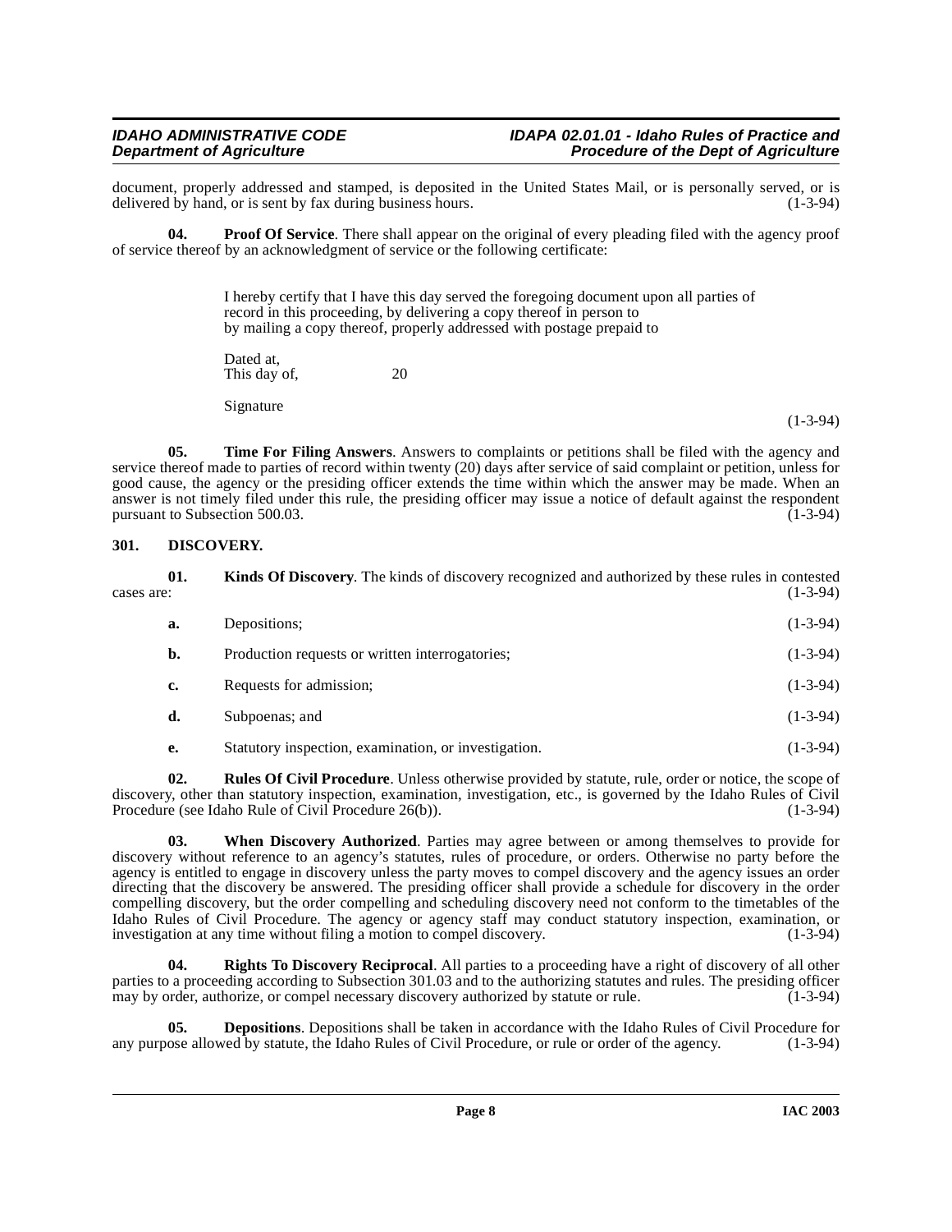document, properly addressed and stamped, is deposited in the United States Mail, or is personally served, or is delivered by hand, or is sent by fax during business hours. (1-3-94) delivered by hand, or is sent by fax during business hours.

**04. Proof Of Service**. There shall appear on the original of every pleading filed with the agency proof of service thereof by an acknowledgment of service or the following certificate:

> <span id="page-7-2"></span>I hereby certify that I have this day served the foregoing document upon all parties of record in this proceeding, by delivering a copy thereof in person to by mailing a copy thereof, properly addressed with postage prepaid to Dated at,

This day of, 20

<span id="page-7-4"></span>Signature

(1-3-94)

**05. Time For Filing Answers**. Answers to complaints or petitions shall be filed with the agency and service thereof made to parties of record within twenty (20) days after service of said complaint or petition, unless for good cause, the agency or the presiding officer extends the time within which the answer may be made. When an answer is not timely filed under this rule, the presiding officer may issue a notice of default against the respondent pursuant to Subsection 500.03.

#### <span id="page-7-1"></span><span id="page-7-0"></span>**301. DISCOVERY.**

| cases are: | 01. | <b>Kinds Of Discovery.</b> The kinds of discovery recognized and authorized by these rules in contested | $(1-3-94)$ |
|------------|-----|---------------------------------------------------------------------------------------------------------|------------|
|            | a.  | Depositions;                                                                                            | $(1-3-94)$ |
|            | b.  | Production requests or written interrogatories;                                                         | $(1-3-94)$ |
|            | c.  | Requests for admission;                                                                                 | $(1-3-94)$ |
|            | d.  | Subpoenas; and                                                                                          | $(1-3-94)$ |
|            | e.  | Statutory inspection, examination, or investigation.                                                    | $(1-3-94)$ |

<span id="page-7-3"></span>**02. Rules Of Civil Procedure**. Unless otherwise provided by statute, rule, order or notice, the scope of discovery, other than statutory inspection, examination, investigation, etc., is governed by the Idaho Rules of Civil<br>Procedure (see Idaho Rule of Civil Procedure 26(b)). Procedure (see Idaho Rule of Civil Procedure 26(b)).

<span id="page-7-5"></span>**03. When Discovery Authorized**. Parties may agree between or among themselves to provide for discovery without reference to an agency's statutes, rules of procedure, or orders. Otherwise no party before the agency is entitled to engage in discovery unless the party moves to compel discovery and the agency issues an order directing that the discovery be answered. The presiding officer shall provide a schedule for discovery in the order compelling discovery, but the order compelling and scheduling discovery need not conform to the timetables of the Idaho Rules of Civil Procedure. The agency or agency staff may conduct statutory inspection, examination, or investigation at any time without filing a motion to compel discovery. (1-3-94)

**04. Rights To Discovery Reciprocal**. All parties to a proceeding have a right of discovery of all other parties to a proceeding according to Subsection 301.03 and to the authorizing statutes and rules. The presiding officer may by order, authorize, or compel necessary discovery authorized by statute or rule. (1-3-94)

**05. Depositions**. Depositions shall be taken in accordance with the Idaho Rules of Civil Procedure for ose allowed by statute, the Idaho Rules of Civil Procedure, or rule or order of the agency. (1-3-94) any purpose allowed by statute, the Idaho Rules of Civil Procedure, or rule or order of the agency.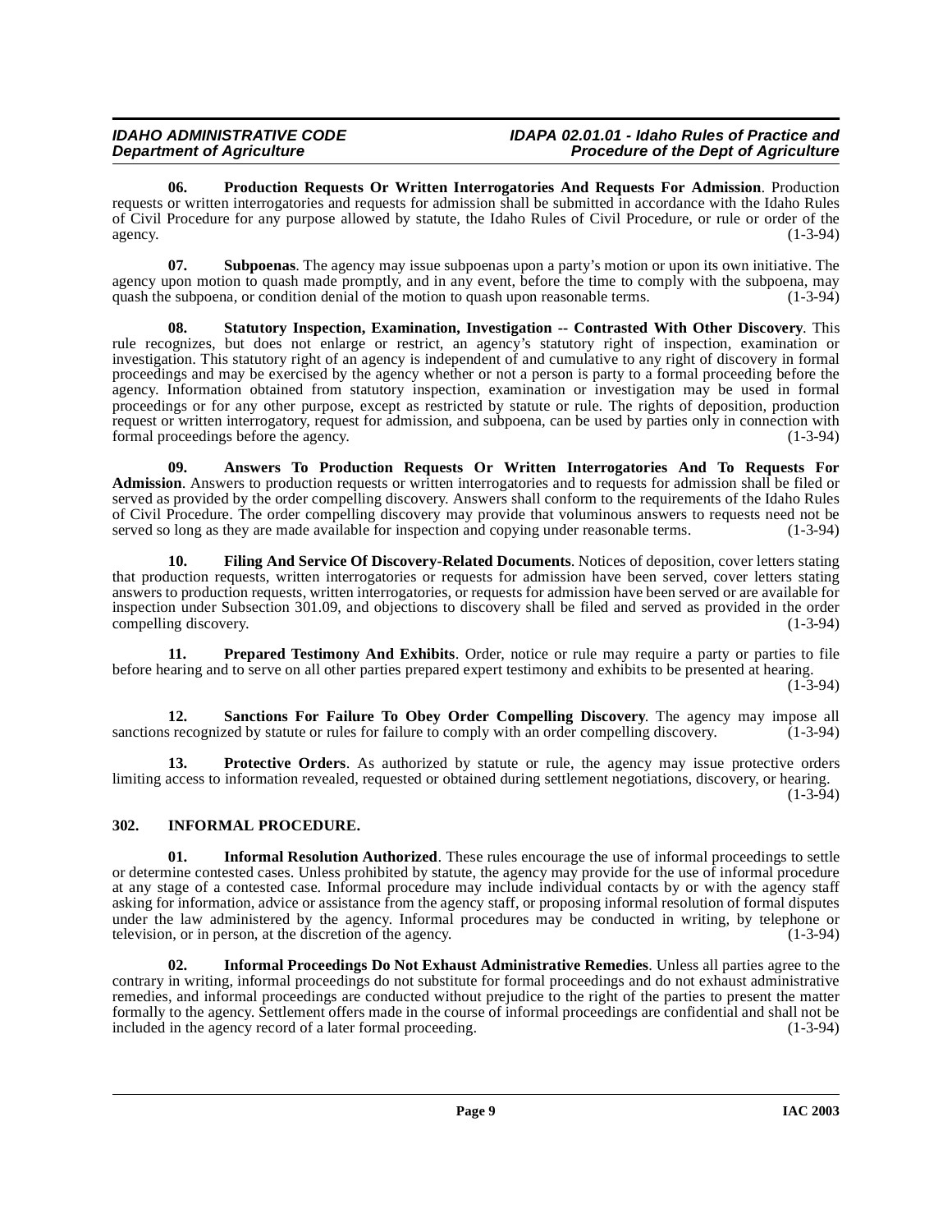<span id="page-8-7"></span>**06. Production Requests Or Written Interrogatories And Requests For Admission**. Production requests or written interrogatories and requests for admission shall be submitted in accordance with the Idaho Rules of Civil Procedure for any purpose allowed by statute, the Idaho Rules of Civil Procedure, or rule or order of the agency.  $(1-3-94)$ 

**07. Subpoenas**. The agency may issue subpoenas upon a party's motion or upon its own initiative. The agency upon motion to quash made promptly, and in any event, before the time to comply with the subpoena, may quash the subpoena, or condition denial of the motion to quash upon reasonable terms. (1-3-94) quash the subpoena, or condition denial of the motion to quash upon reasonable terms.

<span id="page-8-9"></span>**08. Statutory Inspection, Examination, Investigation -- Contrasted With Other Discovery**. This rule recognizes, but does not enlarge or restrict, an agency's statutory right of inspection, examination or investigation. This statutory right of an agency is independent of and cumulative to any right of discovery in formal proceedings and may be exercised by the agency whether or not a person is party to a formal proceeding before the agency. Information obtained from statutory inspection, examination or investigation may be used in formal proceedings or for any other purpose, except as restricted by statute or rule. The rights of deposition, production request or written interrogatory, request for admission, and subpoena, can be used by parties only in connection with formal proceedings before the agency. (1-3-94) formal proceedings before the agency.

<span id="page-8-1"></span>**09. Answers To Production Requests Or Written Interrogatories And To Requests For Admission**. Answers to production requests or written interrogatories and to requests for admission shall be filed or served as provided by the order compelling discovery. Answers shall conform to the requirements of the Idaho Rules of Civil Procedure. The order compelling discovery may provide that voluminous answers to requests need not be<br>served so long as they are made available for inspection and copying under reasonable terms. (1-3-94) served so long as they are made available for inspection and copying under reasonable terms.

<span id="page-8-2"></span>**10. Filing And Service Of Discovery-Related Documents**. Notices of deposition, cover letters stating that production requests, written interrogatories or requests for admission have been served, cover letters stating answers to production requests, written interrogatories, or requests for admission have been served or are available for inspection under Subsection 301.09, and objections to discovery shall be filed and served as provided in the order compelling discovery. (1-3-94) compelling discovery.

<span id="page-8-6"></span>**11. Prepared Testimony And Exhibits**. Order, notice or rule may require a party or parties to file before hearing and to serve on all other parties prepared expert testimony and exhibits to be presented at hearing.  $(1-3-94)$ 

<span id="page-8-8"></span>**12. Sanctions For Failure To Obey Order Compelling Discovery**. The agency may impose all served by statute or rules for failure to comply with an order compelling discovery. (1-3-94) sanctions recognized by statute or rules for failure to comply with an order compelling discovery.

**13. Protective Orders**. As authorized by statute or rule, the agency may issue protective orders limiting access to information revealed, requested or obtained during settlement negotiations, discovery, or hearing.

 $(1-3-94)$ 

### <span id="page-8-3"></span><span id="page-8-0"></span>**302. INFORMAL PROCEDURE.**

<span id="page-8-5"></span>**01.** Informal Resolution Authorized. These rules encourage the use of informal proceedings to settle or determine contested cases. Unless prohibited by statute, the agency may provide for the use of informal procedure at any stage of a contested case. Informal procedure may include individual contacts by or with the agency staff asking for information, advice or assistance from the agency staff, or proposing informal resolution of formal disputes under the law administered by the agency. Informal procedures may be conducted in writing, by telephone or television, or in person, at the discretion of the agency. (1-3-94)

<span id="page-8-4"></span>**02. Informal Proceedings Do Not Exhaust Administrative Remedies**. Unless all parties agree to the contrary in writing, informal proceedings do not substitute for formal proceedings and do not exhaust administrative remedies, and informal proceedings are conducted without prejudice to the right of the parties to present the matter formally to the agency. Settlement offers made in the course of informal proceedings are confidential and shall not be included in the agency record of a later formal proceeding.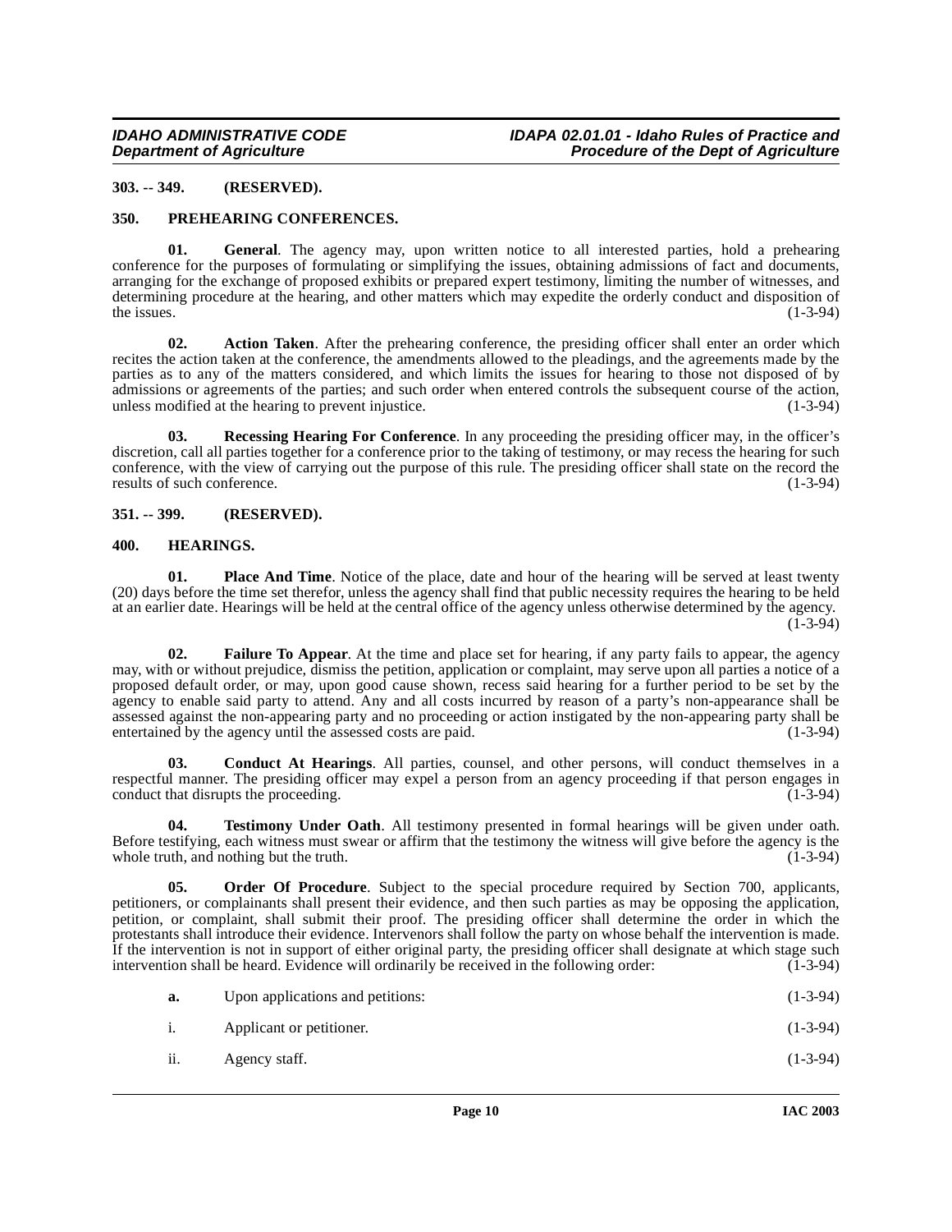#### <span id="page-9-0"></span>**303. -- 349. (RESERVED).**

#### <span id="page-9-8"></span><span id="page-9-1"></span>**350. PREHEARING CONFERENCES.**

**01. General**. The agency may, upon written notice to all interested parties, hold a prehearing conference for the purposes of formulating or simplifying the issues, obtaining admissions of fact and documents, arranging for the exchange of proposed exhibits or prepared expert testimony, limiting the number of witnesses, and determining procedure at the hearing, and other matters which may expedite the orderly conduct and disposition of the issues. (1-3-94) the issues.  $(1-3-94)$ 

**02. Action Taken**. After the prehearing conference, the presiding officer shall enter an order which recites the action taken at the conference, the amendments allowed to the pleadings, and the agreements made by the parties as to any of the matters considered, and which limits the issues for hearing to those not disposed of by admissions or agreements of the parties; and such order when entered controls the subsequent course of the action, unless modified at the hearing to prevent injustice. (1-3-94)

<span id="page-9-9"></span>**03. Recessing Hearing For Conference**. In any proceeding the presiding officer may, in the officer's discretion, call all parties together for a conference prior to the taking of testimony, or may recess the hearing for such conference, with the view of carrying out the purpose of this rule. The presiding officer shall state on the record the results of such conference. (1-3-94)

#### <span id="page-9-2"></span>**351. -- 399. (RESERVED).**

#### <span id="page-9-6"></span><span id="page-9-3"></span>**400. HEARINGS.**

<span id="page-9-7"></span>**01.** Place And Time. Notice of the place, date and hour of the hearing will be served at least twenty (20) days before the time set therefor, unless the agency shall find that public necessity requires the hearing to be held at an earlier date. Hearings will be held at the central office of the agency unless otherwise determined by the agency. (1-3-94)

<span id="page-9-5"></span>**02. Failure To Appear**. At the time and place set for hearing, if any party fails to appear, the agency may, with or without prejudice, dismiss the petition, application or complaint, may serve upon all parties a notice of a proposed default order, or may, upon good cause shown, recess said hearing for a further period to be set by the agency to enable said party to attend. Any and all costs incurred by reason of a party's non-appearance shall be assessed against the non-appearing party and no proceeding or action instigated by the non-appearing party shall be entertained by the agency until the assessed costs are paid. (1-3-94)

<span id="page-9-4"></span>**03. Conduct At Hearings**. All parties, counsel, and other persons, will conduct themselves in a respectful manner. The presiding officer may expel a person from an agency proceeding if that person engages in conduct that disrupts the proceeding. (1-3-94) conduct that disrupts the proceeding.

**04. Testimony Under Oath**. All testimony presented in formal hearings will be given under oath. Before testifying, each witness must swear or affirm that the testimony the witness will give before the agency is the whole truth, and nothing but the truth. (1-3-94) (1-3-94)

**05. Order Of Procedure**. Subject to the special procedure required by Section 700, applicants, petitioners, or complainants shall present their evidence, and then such parties as may be opposing the application, petition, or complaint, shall submit their proof. The presiding officer shall determine the order in which the protestants shall introduce their evidence. Intervenors shall follow the party on whose behalf the intervention is made. If the intervention is not in support of either original party, the presiding officer shall designate at which stage such intervention shall be heard. Evidence will ordinarily be received in the following order:  $(1-3-94)$ intervention shall be heard. Evidence will ordinarily be received in the following order:

| a.  | Upon applications and petitions: | $(1-3-94)$ |
|-----|----------------------------------|------------|
| 1.  | Applicant or petitioner.         | $(1-3-94)$ |
| ii. | Agency staff.                    | $(1-3-94)$ |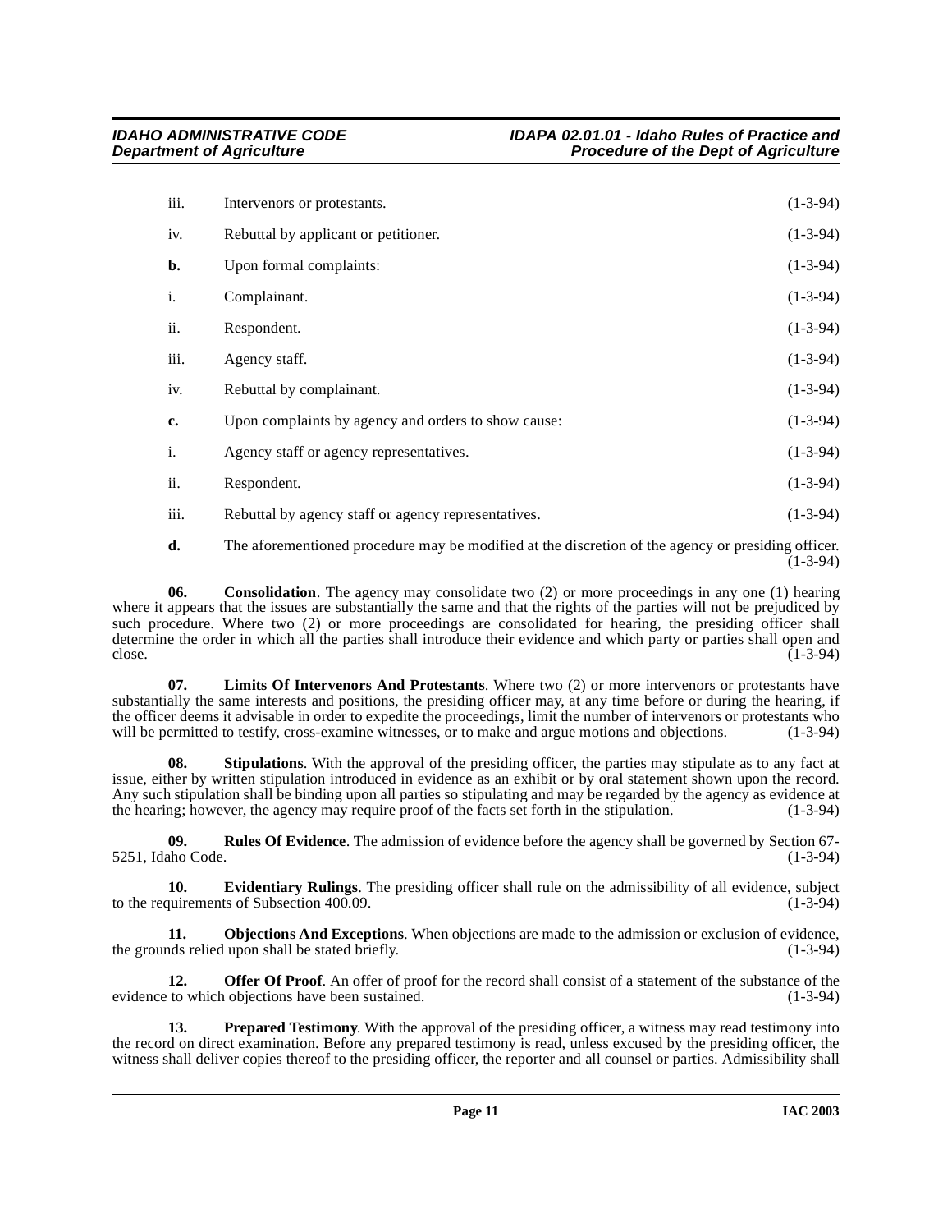| iii. | Intervenors or protestants.                         | $(1-3-94)$ |
|------|-----------------------------------------------------|------------|
| iv.  | Rebuttal by applicant or petitioner.                | $(1-3-94)$ |
| b.   | Upon formal complaints:                             | $(1-3-94)$ |
| i.   | Complainant.                                        | $(1-3-94)$ |
| ii.  | Respondent.                                         | $(1-3-94)$ |
| iii. | Agency staff.                                       | $(1-3-94)$ |
| iv.  | Rebuttal by complainant.                            | $(1-3-94)$ |
| c.   | Upon complaints by agency and orders to show cause: | $(1-3-94)$ |
| i.   | Agency staff or agency representatives.             | $(1-3-94)$ |
| ii.  | Respondent.                                         | $(1-3-94)$ |
| iii. | Rebuttal by agency staff or agency representatives. | $(1-3-94)$ |

<span id="page-10-0"></span>**d.** The aforementioned procedure may be modified at the discretion of the agency or presiding officer.  $(1 - 3 - 94)$ 

**06.** Consolidation. The agency may consolidate two (2) or more proceedings in any one (1) hearing where it appears that the issues are substantially the same and that the rights of the parties will not be prejudiced by such procedure. Where two (2) or more proceedings are consolidated for hearing, the presiding officer shall determine the order in which all the parties shall introduce their evidence and which party or parties shall open and close.  $(1-3-94)$ 

<span id="page-10-1"></span>**07. Limits Of Intervenors And Protestants**. Where two (2) or more intervenors or protestants have substantially the same interests and positions, the presiding officer may, at any time before or during the hearing, if the officer deems it advisable in order to expedite the proceedings, limit the number of intervenors or protestants who will be permitted to testify, cross-examine witnesses, or to make and argue motions and objections. (1 will be permitted to testify, cross-examine witnesses, or to make and argue motions and objections.

**08. Stipulations**. With the approval of the presiding officer, the parties may stipulate as to any fact at issue, either by written stipulation introduced in evidence as an exhibit or by oral statement shown upon the record. Any such stipulation shall be binding upon all parties so stipulating and may be regarded by the agency as evidence at the hearing; however, the agency may require proof of the facts set forth in the stipulation.  $(1-3-94$ the hearing; however, the agency may require proof of the facts set forth in the stipulation.

<span id="page-10-3"></span>**09. Rules Of Evidence**. The admission of evidence before the agency shall be governed by Section 67- 5251, Idaho Code. (1-3-94)

**10. Evidentiary Rulings**. The presiding officer shall rule on the admissibility of all evidence, subject quirements of Subsection 400.09. to the requirements of Subsection  $400.09$ .

**11. Objections And Exceptions**. When objections are made to the admission or exclusion of evidence, ds relied upon shall be stated briefly. (1-3-94) the grounds relied upon shall be stated briefly.

**12. Offer Of Proof**. An offer of proof for the record shall consist of a statement of the substance of the evidence to which objections have been sustained. (1-3-94) (1-3-94)

<span id="page-10-2"></span>**13. Prepared Testimony**. With the approval of the presiding officer, a witness may read testimony into the record on direct examination. Before any prepared testimony is read, unless excused by the presiding officer, the witness shall deliver copies thereof to the presiding officer, the reporter and all counsel or parties. Admissibility shall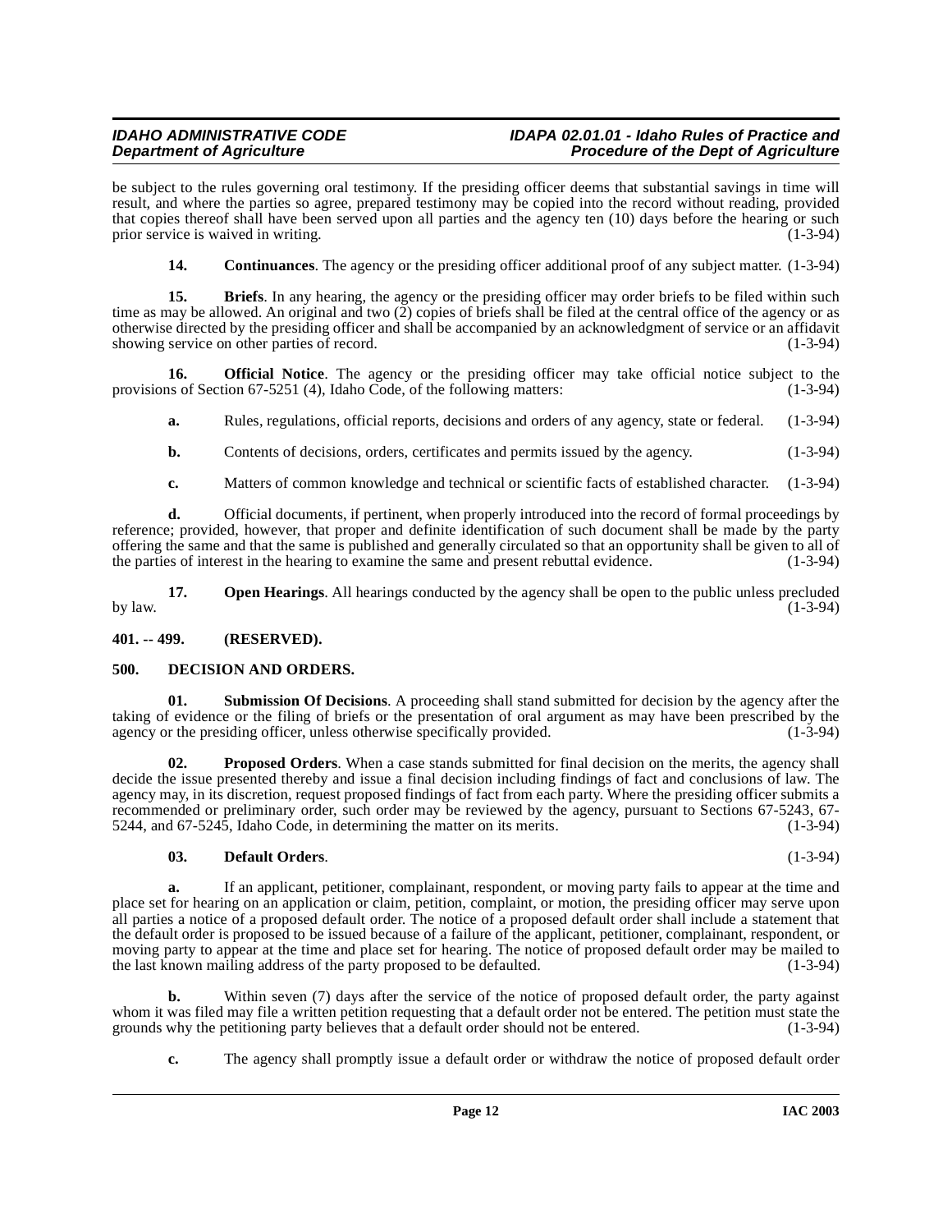be subject to the rules governing oral testimony. If the presiding officer deems that substantial savings in time will result, and where the parties so agree, prepared testimony may be copied into the record without reading, provided that copies thereof shall have been served upon all parties and the agency ten (10) days before the hearing or such prior service is waived in writing. prior service is waived in writing.

**14.** Continuances. The agency or the presiding officer additional proof of any subject matter. (1-3-94)

**15. Briefs**. In any hearing, the agency or the presiding officer may order briefs to be filed within such time as may be allowed. An original and two (2) copies of briefs shall be filed at the central office of the agency or as otherwise directed by the presiding officer and shall be accompanied by an acknowledgment of service or an affidavit showing service on other parties of record. (1-3-94)

**16. Official Notice**. The agency or the presiding officer may take official notice subject to the provisions of Section 67-5251 (4), Idaho Code, of the following matters: (1-3-94)

<span id="page-11-3"></span>**a.** Rules, regulations, official reports, decisions and orders of any agency, state or federal. (1-3-94)

- **b.** Contents of decisions, orders, certificates and permits issued by the agency. (1-3-94)
- **c.** Matters of common knowledge and technical or scientific facts of established character. (1-3-94)

**d.** Official documents, if pertinent, when properly introduced into the record of formal proceedings by reference; provided, however, that proper and definite identification of such document shall be made by the party offering the same and that the same is published and generally circulated so that an opportunity shall be given to all of the parties of interest in the hearing to examine the same and present rebuttal evidence. (1-3-94)

**17. Open Hearings**. All hearings conducted by the agency shall be open to the public unless precluded (1-3-94) by law.  $(1-3-94)$ 

<span id="page-11-0"></span>**401. -- 499. (RESERVED).**

#### <span id="page-11-2"></span><span id="page-11-1"></span>**500. DECISION AND ORDERS.**

**01. Submission Of Decisions**. A proceeding shall stand submitted for decision by the agency after the taking of evidence or the filing of briefs or the presentation of oral argument as may have been prescribed by the agency or the presiding officer, unless otherwise specifically provided. (1-3-94) agency or the presiding officer, unless otherwise specifically provided.

<span id="page-11-4"></span>**02. Proposed Orders**. When a case stands submitted for final decision on the merits, the agency shall decide the issue presented thereby and issue a final decision including findings of fact and conclusions of law. The agency may, in its discretion, request proposed findings of fact from each party. Where the presiding officer submits a recommended or preliminary order, such order may be reviewed by the agency, pursuant to Sections 67-5243, 67-<br>5244, and 67-5245, Idaho Code, in determining the matter on its merits.  $5244$ , and  $67-5245$ , Idaho Code, in determining the matter on its merits.

#### **03. Default Orders**. (1-3-94)

**a.** If an applicant, petitioner, complainant, respondent, or moving party fails to appear at the time and place set for hearing on an application or claim, petition, complaint, or motion, the presiding officer may serve upon all parties a notice of a proposed default order. The notice of a proposed default order shall include a statement that the default order is proposed to be issued because of a failure of the applicant, petitioner, complainant, respondent, or moving party to appear at the time and place set for hearing. The notice of proposed default order may be mailed to<br>the last known mailing address of the party proposed to be defaulted. the last known mailing address of the party proposed to be defaulted.

**b.** Within seven (7) days after the service of the notice of proposed default order, the party against whom it was filed may file a written petition requesting that a default order not be entered. The petition must state the grounds why the petitioning party believes that a default order should not be entered. (1-3-94) grounds why the petitioning party believes that a default order should not be entered.

**c.** The agency shall promptly issue a default order or withdraw the notice of proposed default order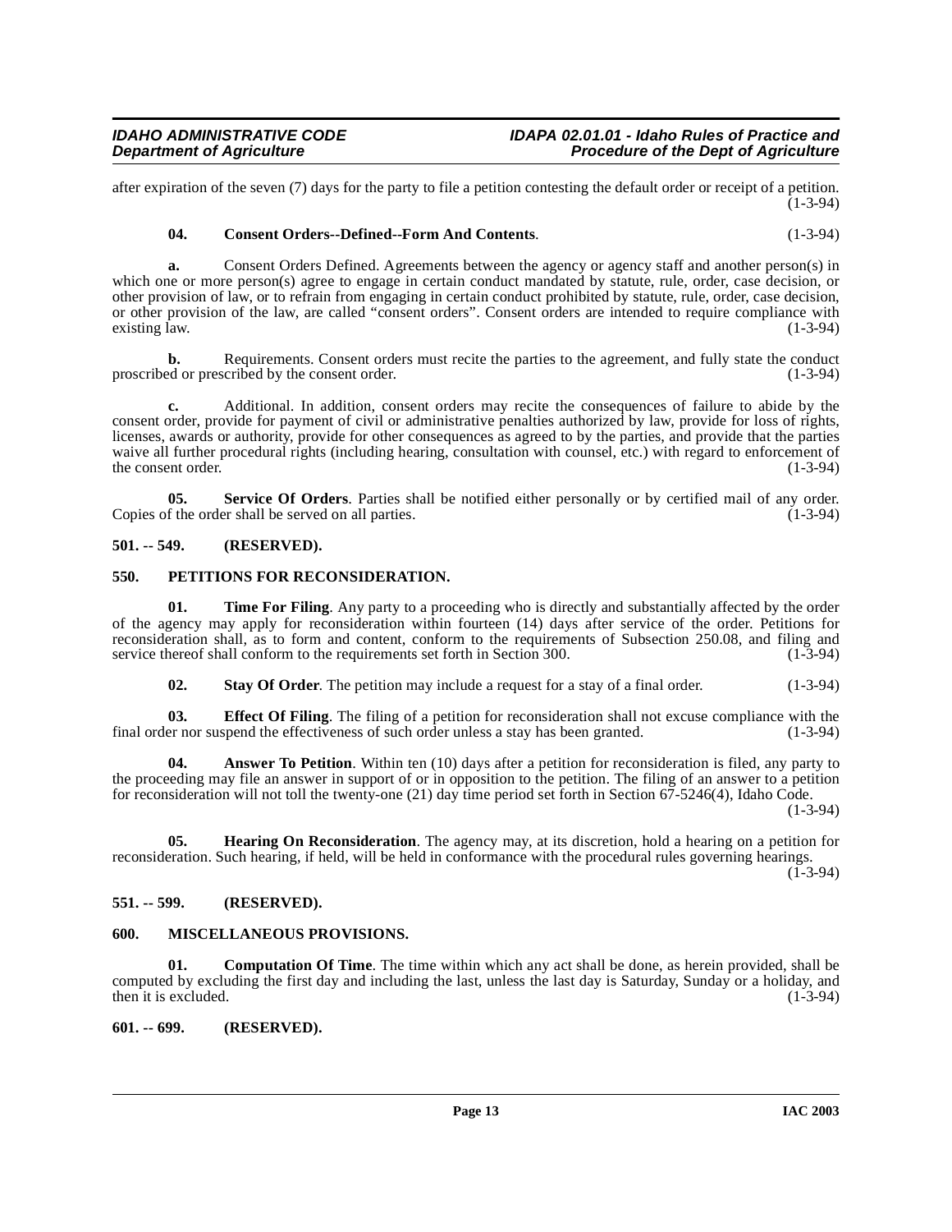after expiration of the seven (7) days for the party to file a petition contesting the default order or receipt of a petition. (1-3-94)

#### **04. Consent Orders--Defined--Form And Contents**. (1-3-94)

**a.** Consent Orders Defined. Agreements between the agency or agency staff and another person(s) in which one or more person(s) agree to engage in certain conduct mandated by statute, rule, order, case decision, or other provision of law, or to refrain from engaging in certain conduct prohibited by statute, rule, order, case decision, or other provision of the law, are called "consent orders". Consent orders are intended to require compliance with existing law.  $(1-3-94)$ 

**b.** Requirements. Consent orders must recite the parties to the agreement, and fully state the conduct ed or prescribed by the consent order. (1-3-94) proscribed or prescribed by the consent order.

**c.** Additional. In addition, consent orders may recite the consequences of failure to abide by the consent order, provide for payment of civil or administrative penalties authorized by law, provide for loss of rights, licenses, awards or authority, provide for other consequences as agreed to by the parties, and provide that the parties waive all further procedural rights (including hearing, consultation with counsel, etc.) with regard to enforcement of the consent order. (1-3-94)

**05.** Service Of Orders. Parties shall be notified either personally or by certified mail of any order.<br>f the order shall be served on all parties. (1-3-94) Copies of the order shall be served on all parties.

#### <span id="page-12-0"></span>**501. -- 549. (RESERVED).**

#### <span id="page-12-7"></span><span id="page-12-1"></span>**550. PETITIONS FOR RECONSIDERATION.**

**01.** Time For Filing. Any party to a proceeding who is directly and substantially affected by the order of the agency may apply for reconsideration within fourteen (14) days after service of the order. Petitions for reconsideration shall, as to form and content, conform to the requirements of Subsection 250.08, and filing and service thereof shall conform to the requirements set forth in Section 300. (1-3-94) service thereof shall conform to the requirements set forth in Section 300.

**02. Stay Of Order**. The petition may include a request for a stay of a final order. (1-3-94)

**03. Effect Of Filing**. The filing of a petition for reconsideration shall not excuse compliance with the er nor suspend the effectiveness of such order unless a stay has been granted. (1-3-94) final order nor suspend the effectiveness of such order unless a stay has been granted.

**04. Answer To Petition**. Within ten (10) days after a petition for reconsideration is filed, any party to the proceeding may file an answer in support of or in opposition to the petition. The filing of an answer to a petition for reconsideration will not toll the twenty-one (21) day time period set forth in Section 67-5246(4), Idaho Code.

(1-3-94)

**05. Hearing On Reconsideration**. The agency may, at its discretion, hold a hearing on a petition for reconsideration. Such hearing, if held, will be held in conformance with the procedural rules governing hearings.

 $(1 - 3 - 94)$ 

#### <span id="page-12-2"></span>**551. -- 599. (RESERVED).**

#### <span id="page-12-6"></span><span id="page-12-3"></span>**600. MISCELLANEOUS PROVISIONS.**

<span id="page-12-5"></span>**01. Computation Of Time**. The time within which any act shall be done, as herein provided, shall be computed by excluding the first day and including the last, unless the last day is Saturday, Sunday or a holiday, and then it is excluded.  $(1-3-94)$ 

#### <span id="page-12-4"></span>**601. -- 699. (RESERVED).**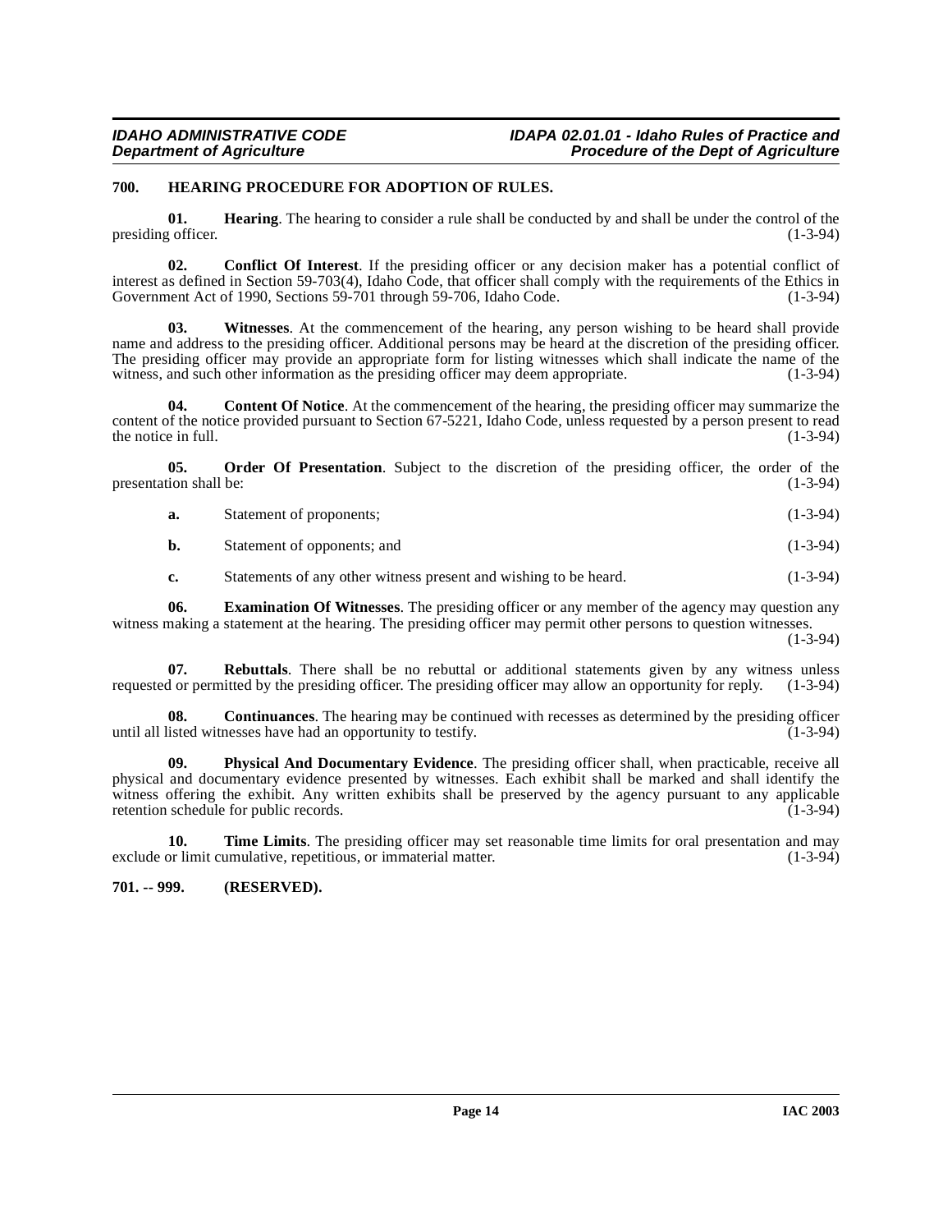#### <span id="page-13-4"></span><span id="page-13-0"></span>**700. HEARING PROCEDURE FOR ADOPTION OF RULES.**

**01. Hearing**. The hearing to consider a rule shall be conducted by and shall be under the control of the conficer. presiding officer.

**02. Conflict Of Interest**. If the presiding officer or any decision maker has a potential conflict of interest as defined in Section 59-703(4), Idaho Čode, that officer shall comply with the requirements of the Ethics in Government Act of 1990, Sections 59-701 through 59-706, Idaho Code. (1-3-94) Government Act of 1990, Sections 59-701 through 59-706, Idaho Code.

**03. Witnesses**. At the commencement of the hearing, any person wishing to be heard shall provide name and address to the presiding officer. Additional persons may be heard at the discretion of the presiding officer. The presiding officer may provide an appropriate form for listing witnesses which shall indicate the name of the witness, and such other information as the presiding officer may deem appropriate. (1-3-94) witness, and such other information as the presiding officer may deem appropriate.

**04.** Content Of Notice. At the commencement of the hearing, the presiding officer may summarize the content of the notice provided pursuant to Section 67-5221, Idaho Code, unless requested by a person present to read<br>the notice in full. (1-3-94) the notice in full.

**05. Order Of Presentation**. Subject to the discretion of the presiding officer, the order of the presentation shall be:  $(1-3-94)$ 

<span id="page-13-5"></span>

| а. | Statement of proponents; | $(1-3-94)$ |
|----|--------------------------|------------|
|    |                          |            |

**b.** Statement of opponents; and (1-3-94)

<span id="page-13-3"></span>**c.** Statements of any other witness present and wishing to be heard. (1-3-94)

**06. Examination Of Witnesses**. The presiding officer or any member of the agency may question any witness making a statement at the hearing. The presiding officer may permit other persons to question witnesses.

(1-3-94)

**07. Rebuttals**. There shall be no rebuttal or additional statements given by any witness unless requested or permitted by the presiding officer. The presiding officer may allow an opportunity for reply. (1-3-94)

<span id="page-13-2"></span>**08. Continuances**. The hearing may be continued with recesses as determined by the presiding officer isted witnesses have had an opportunity to testify. (1-3-94) until all listed witnesses have had an opportunity to testify.

<span id="page-13-6"></span>**09. Physical And Documentary Evidence**. The presiding officer shall, when practicable, receive all physical and documentary evidence presented by witnesses. Each exhibit shall be marked and shall identify the witness offering the exhibit. Any written exhibits shall be preserved by the agency pursuant to any applicable retention schedule for public records. retention schedule for public records.

**10. Time Limits**. The presiding officer may set reasonable time limits for oral presentation and may exclude or limit cumulative, repetitious, or immaterial matter. (1-3-94)

#### <span id="page-13-1"></span>**701. -- 999. (RESERVED).**